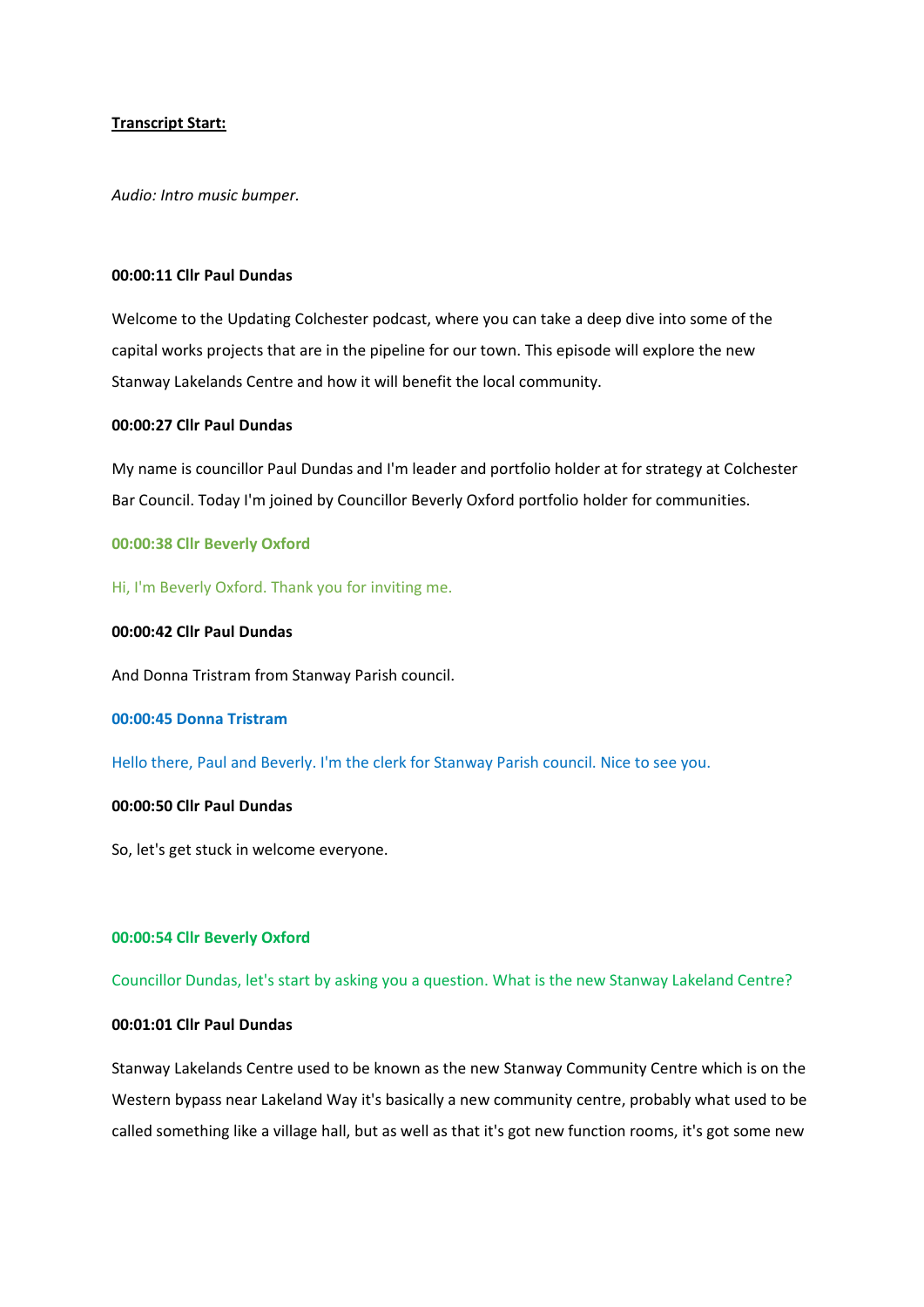## **Transcript Start:**

*Audio: Intro music bumper.*

### **00:00:11 Cllr Paul Dundas**

Welcome to the Updating Colchester podcast, where you can take a deep dive into some of the capital works projects that are in the pipeline for our town. This episode will explore the new Stanway Lakelands Centre and how it will benefit the local community.

## **00:00:27 Cllr Paul Dundas**

My name is councillor Paul Dundas and I'm leader and portfolio holder at for strategy at Colchester Bar Council. Today I'm joined by Councillor Beverly Oxford portfolio holder for communities.

## **00:00:38 Cllr Beverly Oxford**

Hi, I'm Beverly Oxford. Thank you for inviting me.

### **00:00:42 Cllr Paul Dundas**

And Donna Tristram from Stanway Parish council.

#### **00:00:45 Donna Tristram**

Hello there, Paul and Beverly. I'm the clerk for Stanway Parish council. Nice to see you.

## **00:00:50 Cllr Paul Dundas**

So, let's get stuck in welcome everyone.

### **00:00:54 Cllr Beverly Oxford**

Councillor Dundas, let's start by asking you a question. What is the new Stanway Lakeland Centre?

## **00:01:01 Cllr Paul Dundas**

Stanway Lakelands Centre used to be known as the new Stanway Community Centre which is on the Western bypass near Lakeland Way it's basically a new community centre, probably what used to be called something like a village hall, but as well as that it's got new function rooms, it's got some new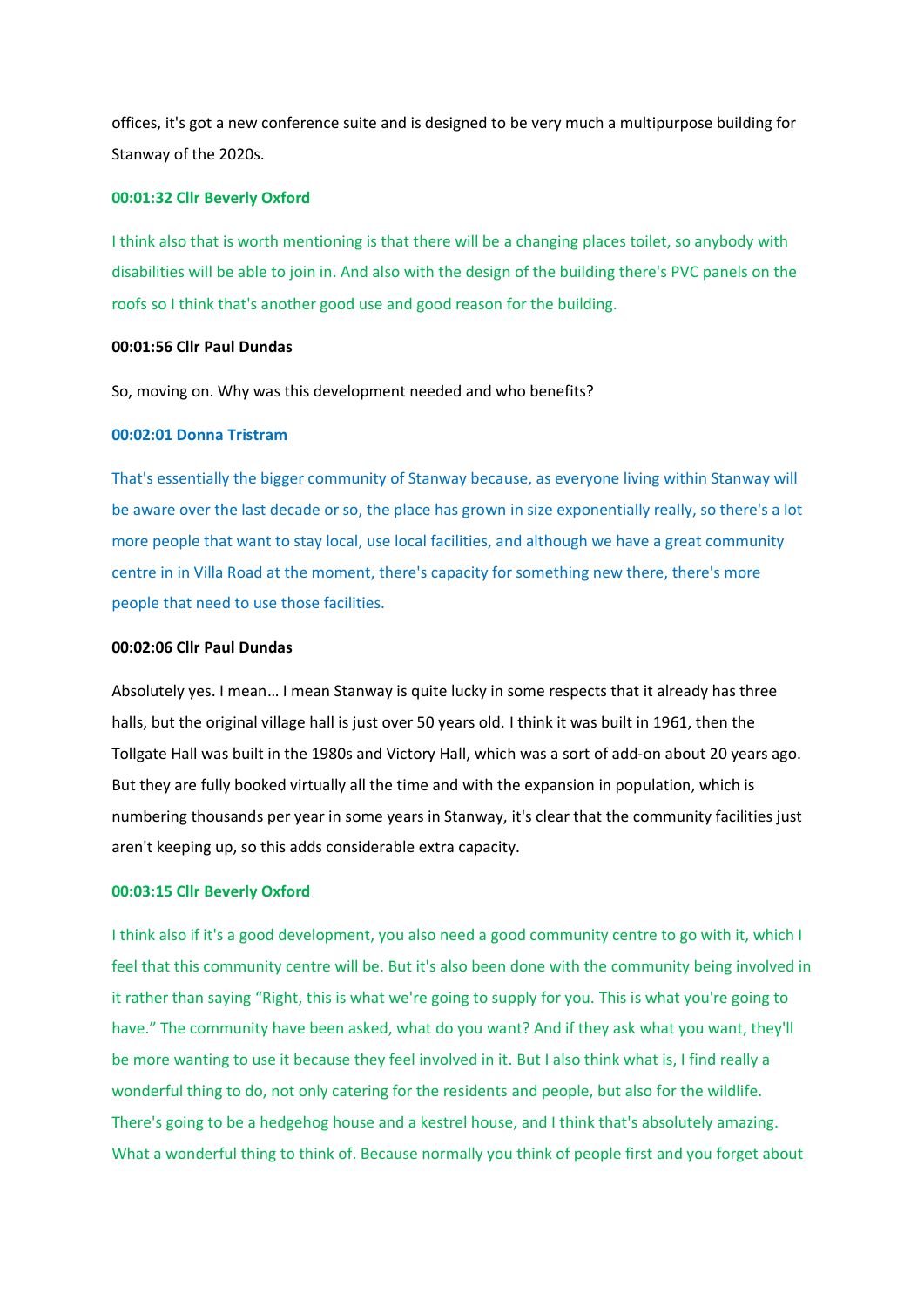offices, it's got a new conference suite and is designed to be very much a multipurpose building for Stanway of the 2020s.

### **00:01:32 Cllr Beverly Oxford**

I think also that is worth mentioning is that there will be a changing places toilet, so anybody with disabilities will be able to join in. And also with the design of the building there's PVC panels on the roofs so I think that's another good use and good reason for the building.

## **00:01:56 Cllr Paul Dundas**

So, moving on. Why was this development needed and who benefits?

#### **00:02:01 Donna Tristram**

That's essentially the bigger community of Stanway because, as everyone living within Stanway will be aware over the last decade or so, the place has grown in size exponentially really, so there's a lot more people that want to stay local, use local facilities, and although we have a great community centre in in Villa Road at the moment, there's capacity for something new there, there's more people that need to use those facilities.

## **00:02:06 Cllr Paul Dundas**

Absolutely yes. I mean… I mean Stanway is quite lucky in some respects that it already has three halls, but the original village hall is just over 50 years old. I think it was built in 1961, then the Tollgate Hall was built in the 1980s and Victory Hall, which was a sort of add-on about 20 years ago. But they are fully booked virtually all the time and with the expansion in population, which is numbering thousands per year in some years in Stanway, it's clear that the community facilities just aren't keeping up, so this adds considerable extra capacity.

## **00:03:15 Cllr Beverly Oxford**

I think also if it's a good development, you also need a good community centre to go with it, which I feel that this community centre will be. But it's also been done with the community being involved in it rather than saying "Right, this is what we're going to supply for you. This is what you're going to have." The community have been asked, what do you want? And if they ask what you want, they'll be more wanting to use it because they feel involved in it. But I also think what is, I find really a wonderful thing to do, not only catering for the residents and people, but also for the wildlife. There's going to be a hedgehog house and a kestrel house, and I think that's absolutely amazing. What a wonderful thing to think of. Because normally you think of people first and you forget about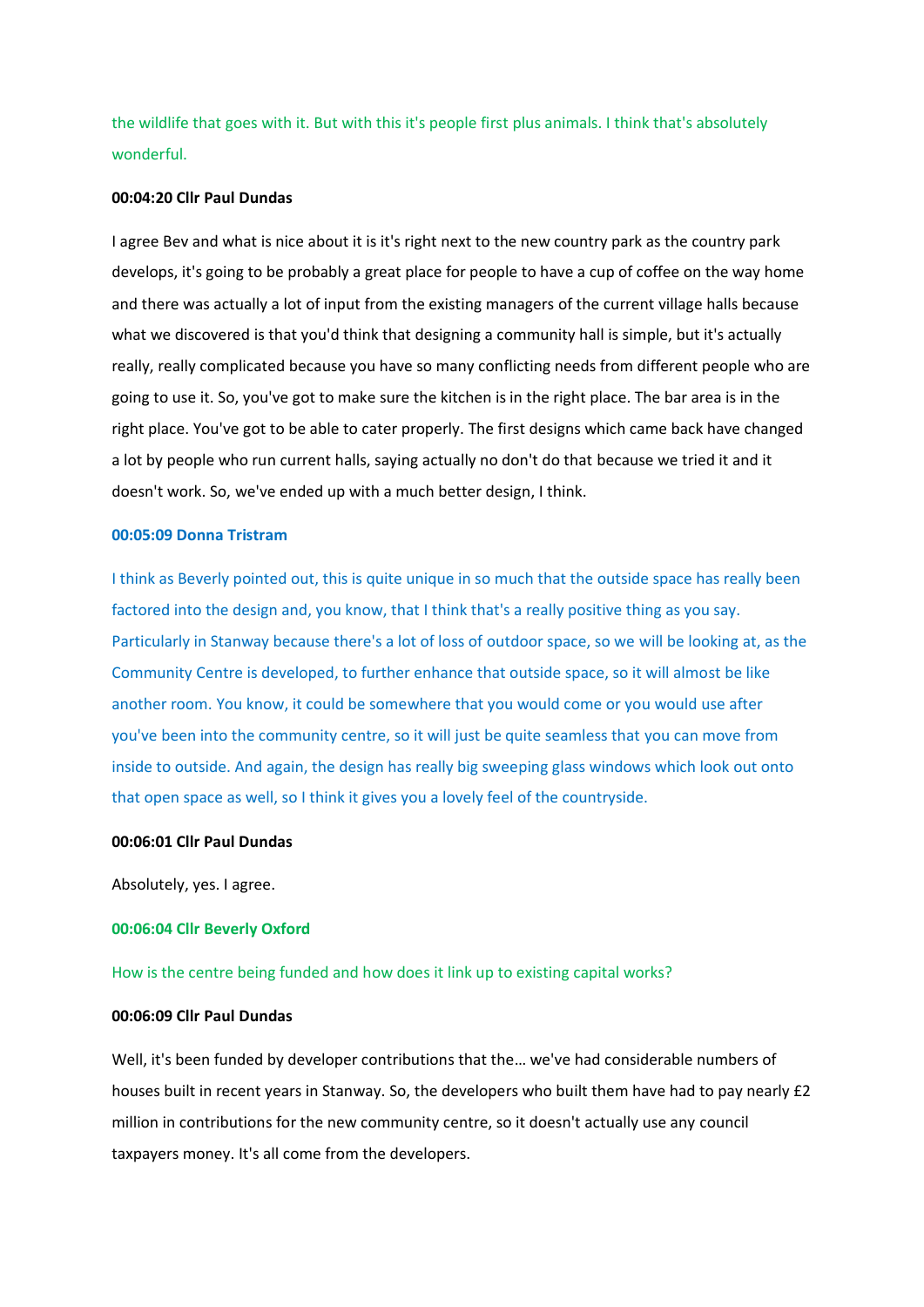the wildlife that goes with it. But with this it's people first plus animals. I think that's absolutely wonderful.

## **00:04:20 Cllr Paul Dundas**

I agree Bev and what is nice about it is it's right next to the new country park as the country park develops, it's going to be probably a great place for people to have a cup of coffee on the way home and there was actually a lot of input from the existing managers of the current village halls because what we discovered is that you'd think that designing a community hall is simple, but it's actually really, really complicated because you have so many conflicting needs from different people who are going to use it. So, you've got to make sure the kitchen is in the right place. The bar area is in the right place. You've got to be able to cater properly. The first designs which came back have changed a lot by people who run current halls, saying actually no don't do that because we tried it and it doesn't work. So, we've ended up with a much better design, I think.

#### **00:05:09 Donna Tristram**

I think as Beverly pointed out, this is quite unique in so much that the outside space has really been factored into the design and, you know, that I think that's a really positive thing as you say. Particularly in Stanway because there's a lot of loss of outdoor space, so we will be looking at, as the Community Centre is developed, to further enhance that outside space, so it will almost be like another room. You know, it could be somewhere that you would come or you would use after you've been into the community centre, so it will just be quite seamless that you can move from inside to outside. And again, the design has really big sweeping glass windows which look out onto that open space as well, so I think it gives you a lovely feel of the countryside.

## **00:06:01 Cllr Paul Dundas**

Absolutely, yes. I agree.

#### **00:06:04 Cllr Beverly Oxford**

### How is the centre being funded and how does it link up to existing capital works?

## **00:06:09 Cllr Paul Dundas**

Well, it's been funded by developer contributions that the… we've had considerable numbers of houses built in recent years in Stanway. So, the developers who built them have had to pay nearly £2 million in contributions for the new community centre, so it doesn't actually use any council taxpayers money. It's all come from the developers.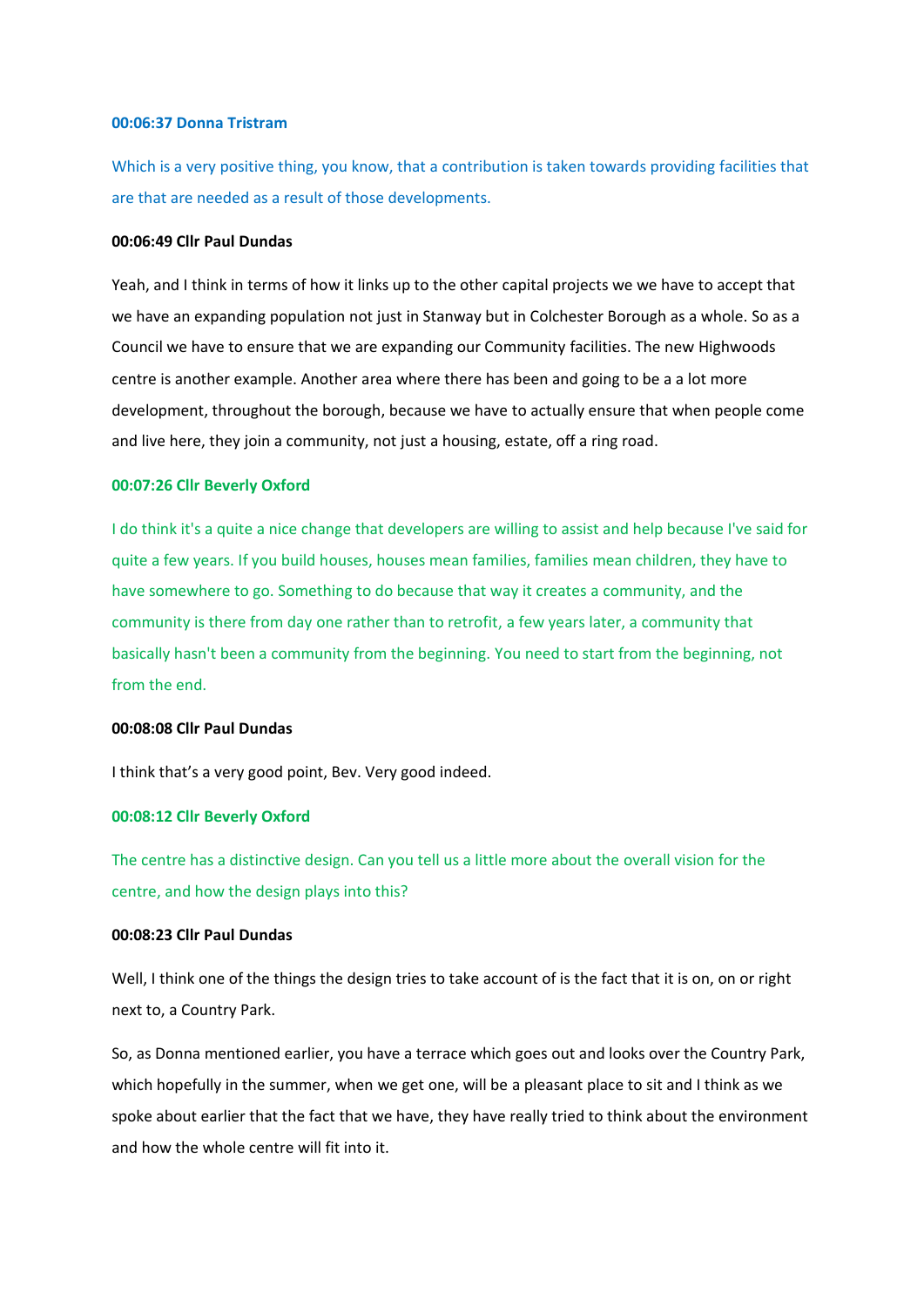### **00:06:37 Donna Tristram**

Which is a very positive thing, you know, that a contribution is taken towards providing facilities that are that are needed as a result of those developments.

#### **00:06:49 Cllr Paul Dundas**

Yeah, and I think in terms of how it links up to the other capital projects we we have to accept that we have an expanding population not just in Stanway but in Colchester Borough as a whole. So as a Council we have to ensure that we are expanding our Community facilities. The new Highwoods centre is another example. Another area where there has been and going to be a a lot more development, throughout the borough, because we have to actually ensure that when people come and live here, they join a community, not just a housing, estate, off a ring road.

## **00:07:26 Cllr Beverly Oxford**

I do think it's a quite a nice change that developers are willing to assist and help because I've said for quite a few years. If you build houses, houses mean families, families mean children, they have to have somewhere to go. Something to do because that way it creates a community, and the community is there from day one rather than to retrofit, a few years later, a community that basically hasn't been a community from the beginning. You need to start from the beginning, not from the end.

### **00:08:08 Cllr Paul Dundas**

I think that's a very good point, Bev. Very good indeed.

### **00:08:12 Cllr Beverly Oxford**

The centre has a distinctive design. Can you tell us a little more about the overall vision for the centre, and how the design plays into this?

# **00:08:23 Cllr Paul Dundas**

Well, I think one of the things the design tries to take account of is the fact that it is on, on or right next to, a Country Park.

So, as Donna mentioned earlier, you have a terrace which goes out and looks over the Country Park, which hopefully in the summer, when we get one, will be a pleasant place to sit and I think as we spoke about earlier that the fact that we have, they have really tried to think about the environment and how the whole centre will fit into it.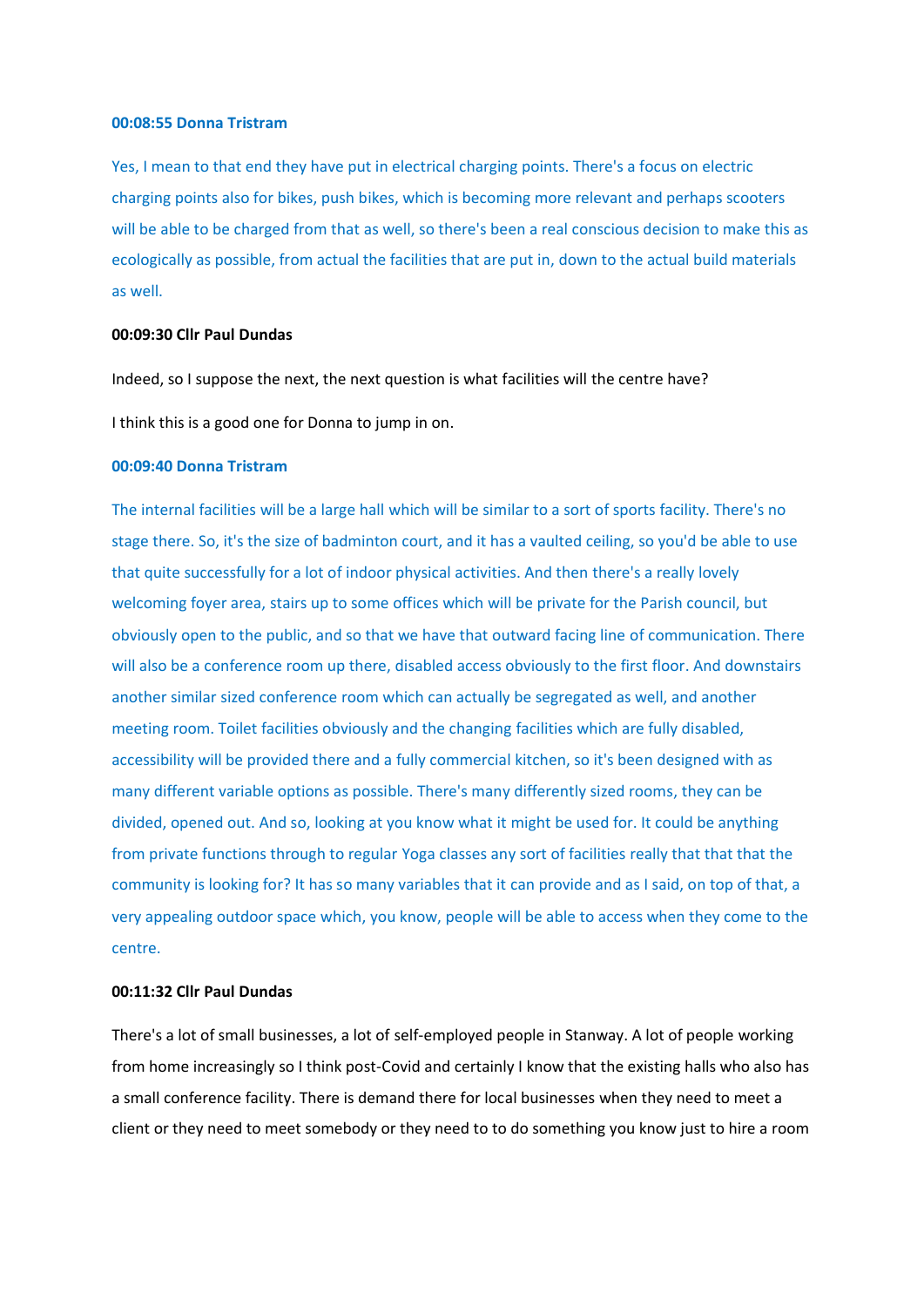#### **00:08:55 Donna Tristram**

Yes, I mean to that end they have put in electrical charging points. There's a focus on electric charging points also for bikes, push bikes, which is becoming more relevant and perhaps scooters will be able to be charged from that as well, so there's been a real conscious decision to make this as ecologically as possible, from actual the facilities that are put in, down to the actual build materials as well.

#### **00:09:30 Cllr Paul Dundas**

Indeed, so I suppose the next, the next question is what facilities will the centre have?

I think this is a good one for Donna to jump in on.

### **00:09:40 Donna Tristram**

The internal facilities will be a large hall which will be similar to a sort of sports facility. There's no stage there. So, it's the size of badminton court, and it has a vaulted ceiling, so you'd be able to use that quite successfully for a lot of indoor physical activities. And then there's a really lovely welcoming foyer area, stairs up to some offices which will be private for the Parish council, but obviously open to the public, and so that we have that outward facing line of communication. There will also be a conference room up there, disabled access obviously to the first floor. And downstairs another similar sized conference room which can actually be segregated as well, and another meeting room. Toilet facilities obviously and the changing facilities which are fully disabled, accessibility will be provided there and a fully commercial kitchen, so it's been designed with as many different variable options as possible. There's many differently sized rooms, they can be divided, opened out. And so, looking at you know what it might be used for. It could be anything from private functions through to regular Yoga classes any sort of facilities really that that that the community is looking for? It has so many variables that it can provide and as I said, on top of that, a very appealing outdoor space which, you know, people will be able to access when they come to the centre.

### **00:11:32 Cllr Paul Dundas**

There's a lot of small businesses, a lot of self-employed people in Stanway. A lot of people working from home increasingly so I think post-Covid and certainly I know that the existing halls who also has a small conference facility. There is demand there for local businesses when they need to meet a client or they need to meet somebody or they need to to do something you know just to hire a room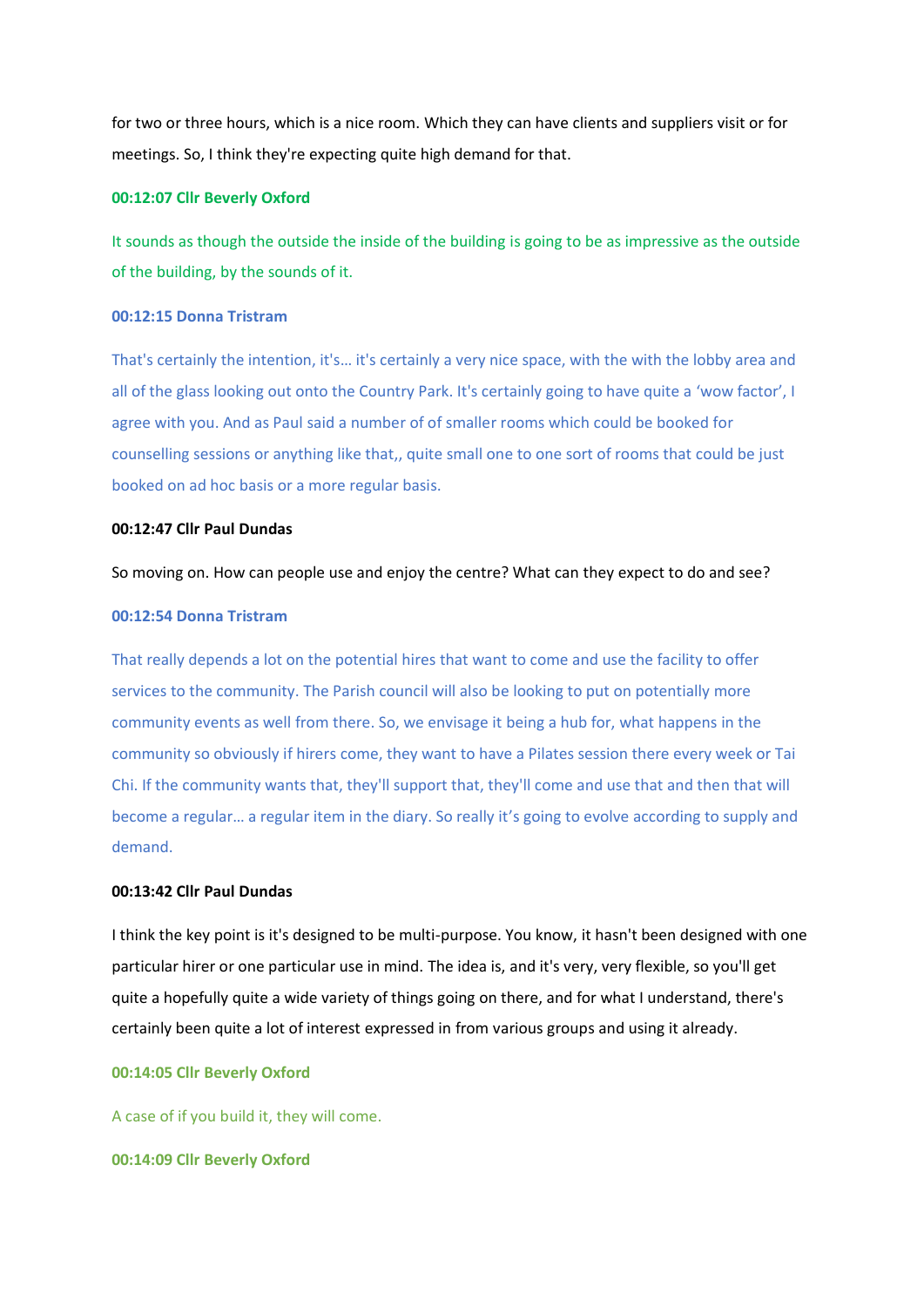for two or three hours, which is a nice room. Which they can have clients and suppliers visit or for meetings. So, I think they're expecting quite high demand for that.

# **00:12:07 Cllr Beverly Oxford**

It sounds as though the outside the inside of the building is going to be as impressive as the outside of the building, by the sounds of it.

# **00:12:15 Donna Tristram**

That's certainly the intention, it's… it's certainly a very nice space, with the with the lobby area and all of the glass looking out onto the Country Park. It's certainly going to have quite a 'wow factor', I agree with you. And as Paul said a number of of smaller rooms which could be booked for counselling sessions or anything like that,, quite small one to one sort of rooms that could be just booked on ad hoc basis or a more regular basis.

# **00:12:47 Cllr Paul Dundas**

#### So moving on. How can people use and enjoy the centre? What can they expect to do and see?

### **00:12:54 Donna Tristram**

That really depends a lot on the potential hires that want to come and use the facility to offer services to the community. The Parish council will also be looking to put on potentially more community events as well from there. So, we envisage it being a hub for, what happens in the community so obviously if hirers come, they want to have a Pilates session there every week or Tai Chi. If the community wants that, they'll support that, they'll come and use that and then that will become a regular… a regular item in the diary. So really it's going to evolve according to supply and demand.

## **00:13:42 Cllr Paul Dundas**

I think the key point is it's designed to be multi-purpose. You know, it hasn't been designed with one particular hirer or one particular use in mind. The idea is, and it's very, very flexible, so you'll get quite a hopefully quite a wide variety of things going on there, and for what I understand, there's certainly been quite a lot of interest expressed in from various groups and using it already.

### **00:14:05 Cllr Beverly Oxford**

A case of if you build it, they will come.

**00:14:09 Cllr Beverly Oxford**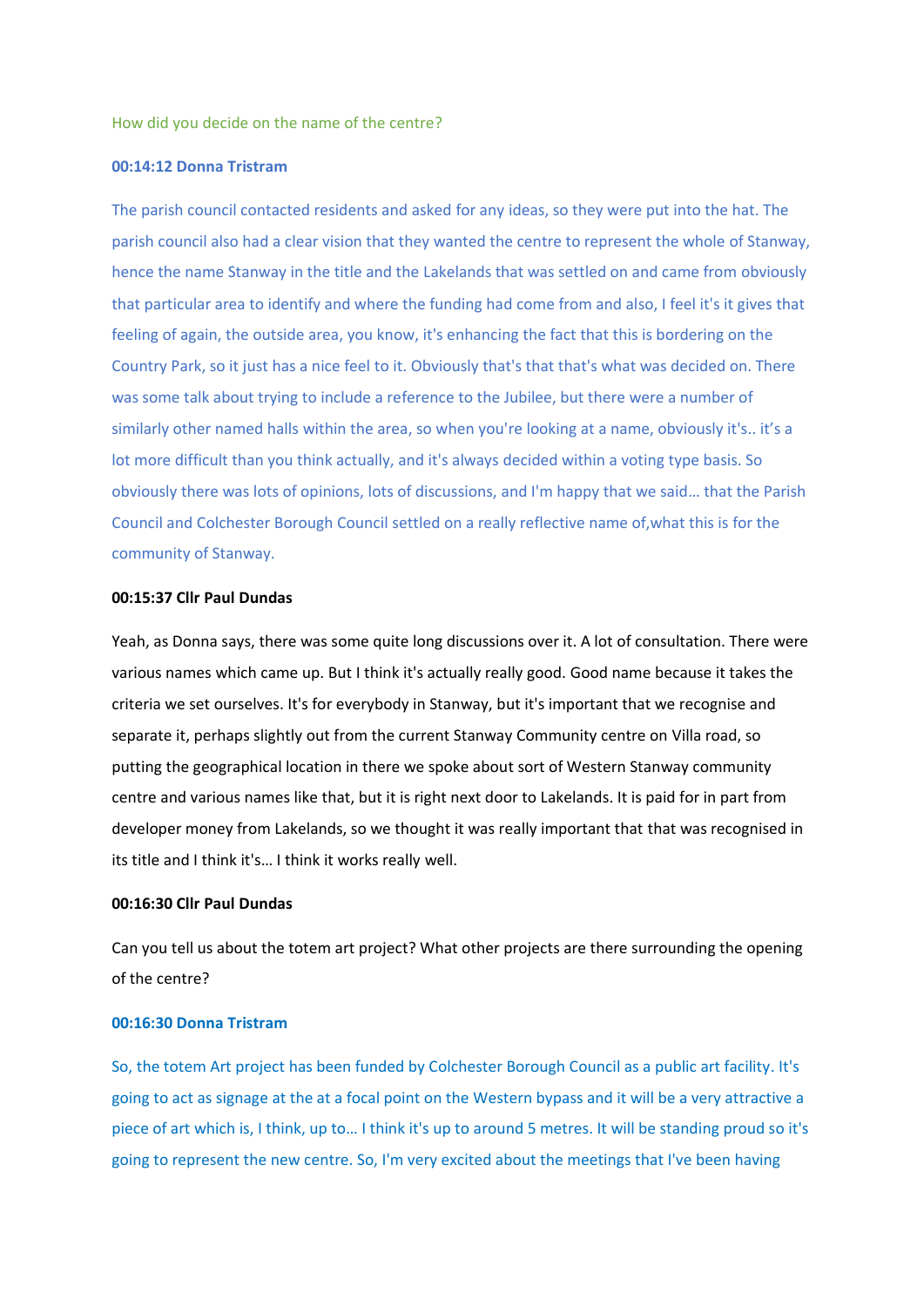How did you decide on the name of the centre?

## **00:14:12 Donna Tristram**

The parish council contacted residents and asked for any ideas, so they were put into the hat. The parish council also had a clear vision that they wanted the centre to represent the whole of Stanway, hence the name Stanway in the title and the Lakelands that was settled on and came from obviously that particular area to identify and where the funding had come from and also, I feel it's it gives that feeling of again, the outside area, you know, it's enhancing the fact that this is bordering on the Country Park, so it just has a nice feel to it. Obviously that's that that's what was decided on. There was some talk about trying to include a reference to the Jubilee, but there were a number of similarly other named halls within the area, so when you're looking at a name, obviously it's.. it's a lot more difficult than you think actually, and it's always decided within a voting type basis. So obviously there was lots of opinions, lots of discussions, and I'm happy that we said… that the Parish Council and Colchester Borough Council settled on a really reflective name of,what this is for the community of Stanway.

### **00:15:37 Cllr Paul Dundas**

Yeah, as Donna says, there was some quite long discussions over it. A lot of consultation. There were various names which came up. But I think it's actually really good. Good name because it takes the criteria we set ourselves. It's for everybody in Stanway, but it's important that we recognise and separate it, perhaps slightly out from the current Stanway Community centre on Villa road, so putting the geographical location in there we spoke about sort of Western Stanway community centre and various names like that, but it is right next door to Lakelands. It is paid for in part from developer money from Lakelands, so we thought it was really important that that was recognised in its title and I think it's… I think it works really well.

### **00:16:30 Cllr Paul Dundas**

Can you tell us about the totem art project? What other projects are there surrounding the opening of the centre?

#### **00:16:30 Donna Tristram**

So, the totem Art project has been funded by Colchester Borough Council as a public art facility. It's going to act as signage at the at a focal point on the Western bypass and it will be a very attractive a piece of art which is, I think, up to… I think it's up to around 5 metres. It will be standing proud so it's going to represent the new centre. So, I'm very excited about the meetings that I've been having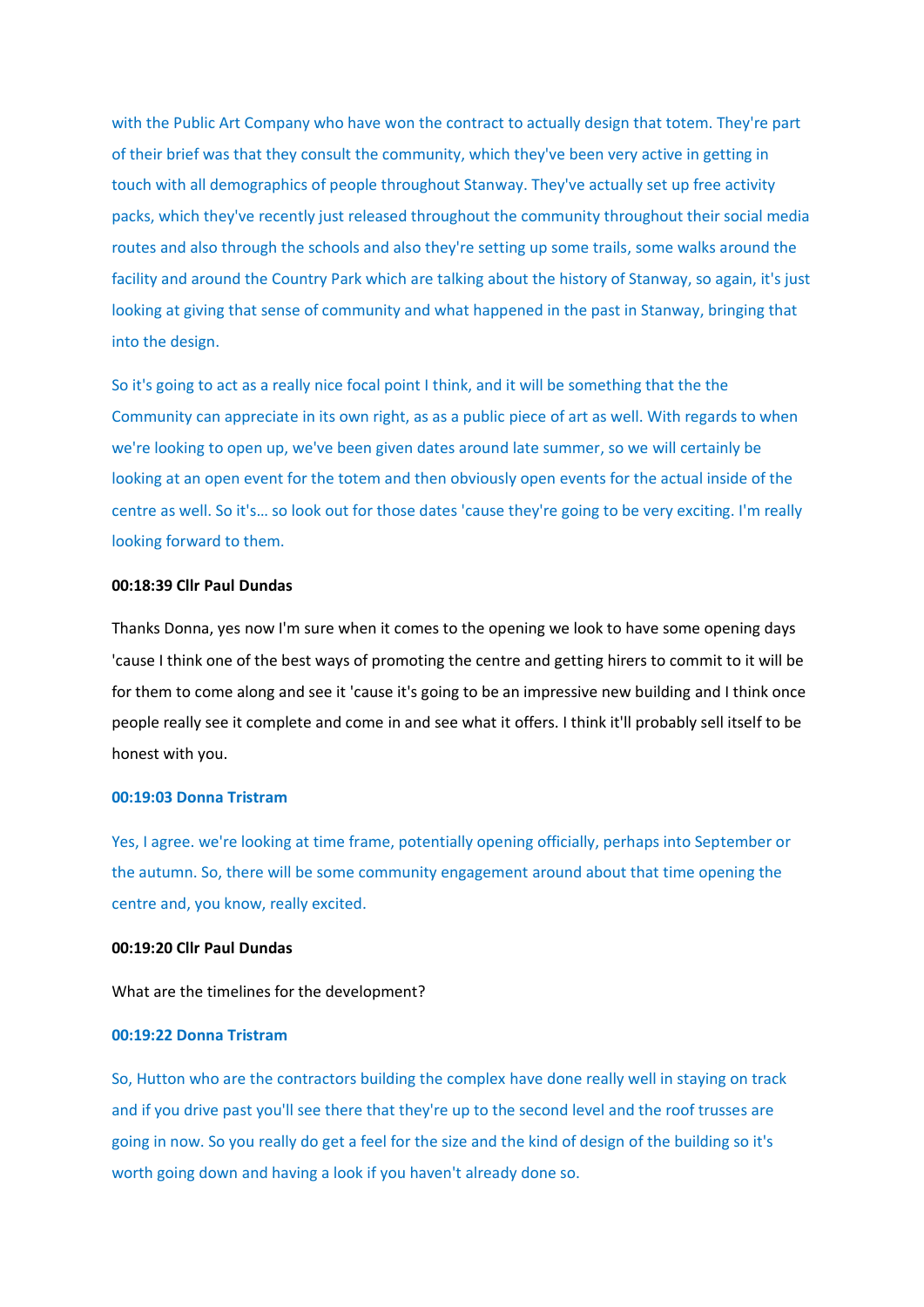with the Public Art Company who have won the contract to actually design that totem. They're part of their brief was that they consult the community, which they've been very active in getting in touch with all demographics of people throughout Stanway. They've actually set up free activity packs, which they've recently just released throughout the community throughout their social media routes and also through the schools and also they're setting up some trails, some walks around the facility and around the Country Park which are talking about the history of Stanway, so again, it's just looking at giving that sense of community and what happened in the past in Stanway, bringing that into the design.

So it's going to act as a really nice focal point I think, and it will be something that the the Community can appreciate in its own right, as as a public piece of art as well. With regards to when we're looking to open up, we've been given dates around late summer, so we will certainly be looking at an open event for the totem and then obviously open events for the actual inside of the centre as well. So it's… so look out for those dates 'cause they're going to be very exciting. I'm really looking forward to them.

## **00:18:39 Cllr Paul Dundas**

Thanks Donna, yes now I'm sure when it comes to the opening we look to have some opening days 'cause I think one of the best ways of promoting the centre and getting hirers to commit to it will be for them to come along and see it 'cause it's going to be an impressive new building and I think once people really see it complete and come in and see what it offers. I think it'll probably sell itself to be honest with you.

### **00:19:03 Donna Tristram**

Yes, I agree. we're looking at time frame, potentially opening officially, perhaps into September or the autumn. So, there will be some community engagement around about that time opening the centre and, you know, really excited.

## **00:19:20 Cllr Paul Dundas**

What are the timelines for the development?

## **00:19:22 Donna Tristram**

So, Hutton who are the contractors building the complex have done really well in staying on track and if you drive past you'll see there that they're up to the second level and the roof trusses are going in now. So you really do get a feel for the size and the kind of design of the building so it's worth going down and having a look if you haven't already done so.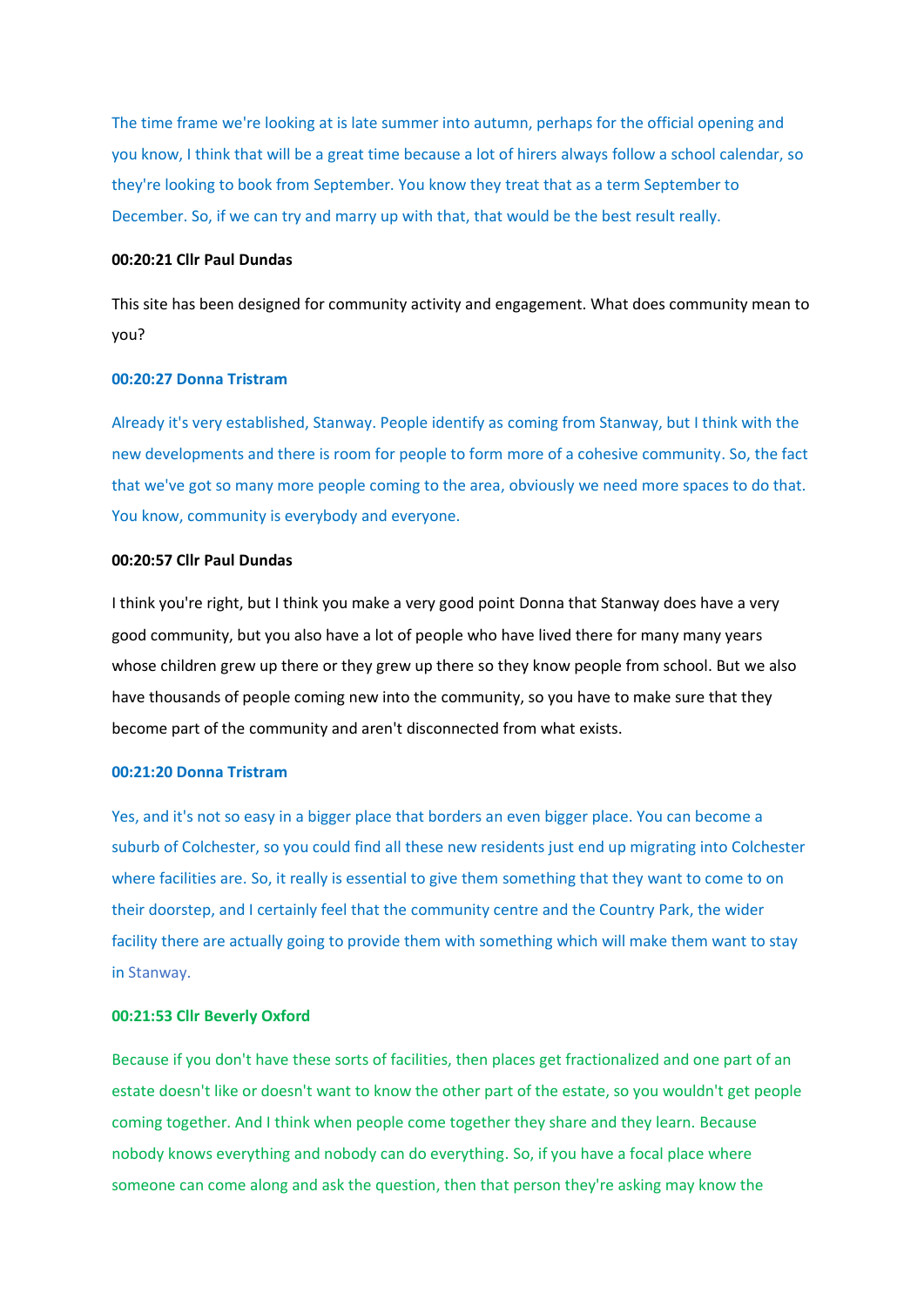The time frame we're looking at is late summer into autumn, perhaps for the official opening and you know, I think that will be a great time because a lot of hirers always follow a school calendar, so they're looking to book from September. You know they treat that as a term September to December. So, if we can try and marry up with that, that would be the best result really.

### **00:20:21 Cllr Paul Dundas**

This site has been designed for community activity and engagement. What does community mean to you?

#### **00:20:27 Donna Tristram**

Already it's very established, Stanway. People identify as coming from Stanway, but I think with the new developments and there is room for people to form more of a cohesive community. So, the fact that we've got so many more people coming to the area, obviously we need more spaces to do that. You know, community is everybody and everyone.

## **00:20:57 Cllr Paul Dundas**

I think you're right, but I think you make a very good point Donna that Stanway does have a very good community, but you also have a lot of people who have lived there for many many years whose children grew up there or they grew up there so they know people from school. But we also have thousands of people coming new into the community, so you have to make sure that they become part of the community and aren't disconnected from what exists.

## **00:21:20 Donna Tristram**

Yes, and it's not so easy in a bigger place that borders an even bigger place. You can become a suburb of Colchester, so you could find all these new residents just end up migrating into Colchester where facilities are. So, it really is essential to give them something that they want to come to on their doorstep, and I certainly feel that the community centre and the Country Park, the wider facility there are actually going to provide them with something which will make them want to stay in Stanway.

#### **00:21:53 Cllr Beverly Oxford**

Because if you don't have these sorts of facilities, then places get fractionalized and one part of an estate doesn't like or doesn't want to know the other part of the estate, so you wouldn't get people coming together. And I think when people come together they share and they learn. Because nobody knows everything and nobody can do everything. So, if you have a focal place where someone can come along and ask the question, then that person they're asking may know the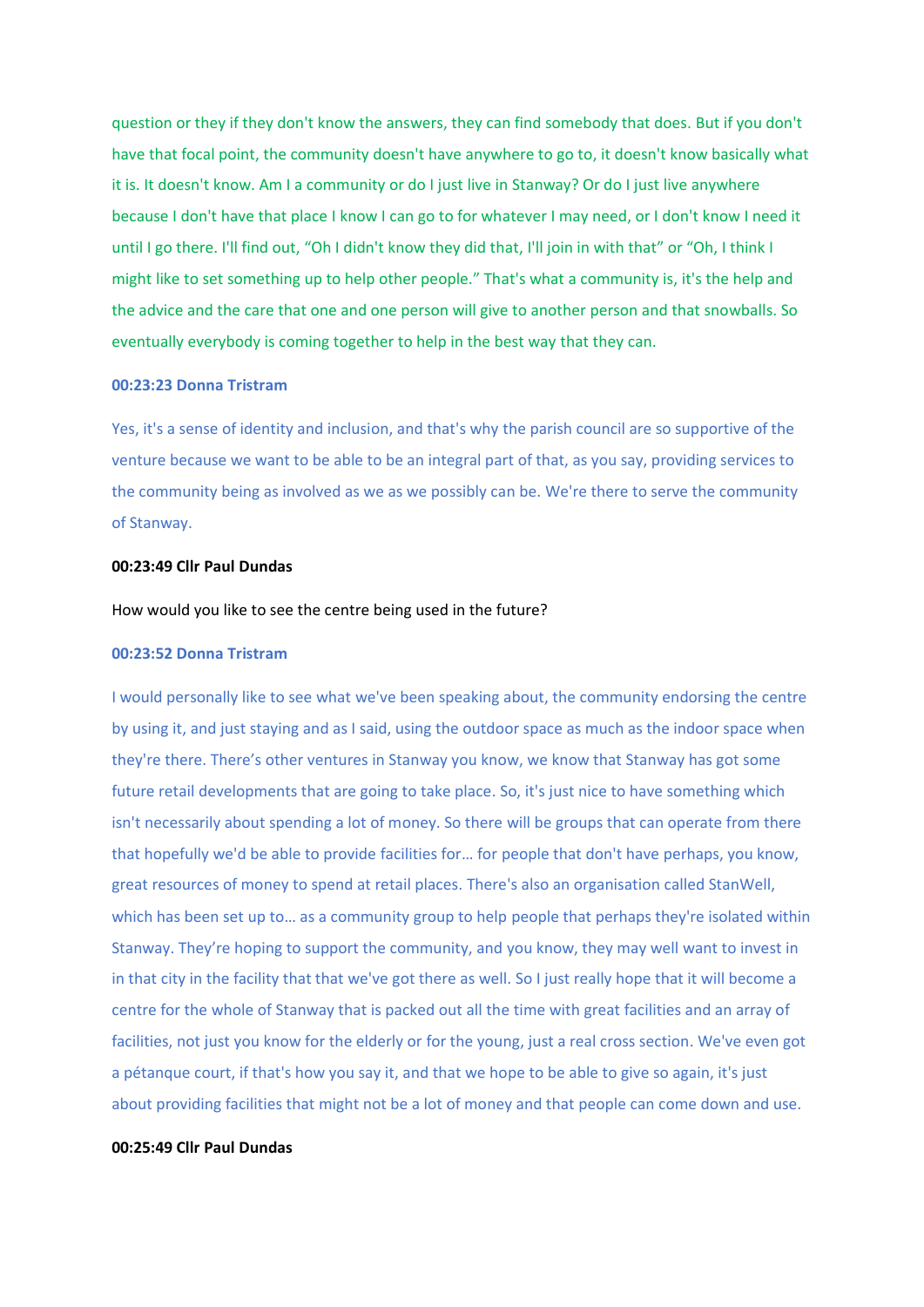question or they if they don't know the answers, they can find somebody that does. But if you don't have that focal point, the community doesn't have anywhere to go to, it doesn't know basically what it is. It doesn't know. Am I a community or do I just live in Stanway? Or do I just live anywhere because I don't have that place I know I can go to for whatever I may need, or I don't know I need it until I go there. I'll find out, "Oh I didn't know they did that, I'll join in with that" or "Oh, I think I might like to set something up to help other people." That's what a community is, it's the help and the advice and the care that one and one person will give to another person and that snowballs. So eventually everybody is coming together to help in the best way that they can.

# **00:23:23 Donna Tristram**

Yes, it's a sense of identity and inclusion, and that's why the parish council are so supportive of the venture because we want to be able to be an integral part of that, as you say, providing services to the community being as involved as we as we possibly can be. We're there to serve the community of Stanway.

#### **00:23:49 Cllr Paul Dundas**

### How would you like to see the centre being used in the future?

#### **00:23:52 Donna Tristram**

I would personally like to see what we've been speaking about, the community endorsing the centre by using it, and just staying and as I said, using the outdoor space as much as the indoor space when they're there. There's other ventures in Stanway you know, we know that Stanway has got some future retail developments that are going to take place. So, it's just nice to have something which isn't necessarily about spending a lot of money. So there will be groups that can operate from there that hopefully we'd be able to provide facilities for… for people that don't have perhaps, you know, great resources of money to spend at retail places. There's also an organisation called StanWell, which has been set up to... as a community group to help people that perhaps they're isolated within Stanway. They're hoping to support the community, and you know, they may well want to invest in in that city in the facility that that we've got there as well. So I just really hope that it will become a centre for the whole of Stanway that is packed out all the time with great facilities and an array of facilities, not just you know for the elderly or for the young, just a real cross section. We've even got a pétanque court, if that's how you say it, and that we hope to be able to give so again, it's just about providing facilities that might not be a lot of money and that people can come down and use.

## **00:25:49 Cllr Paul Dundas**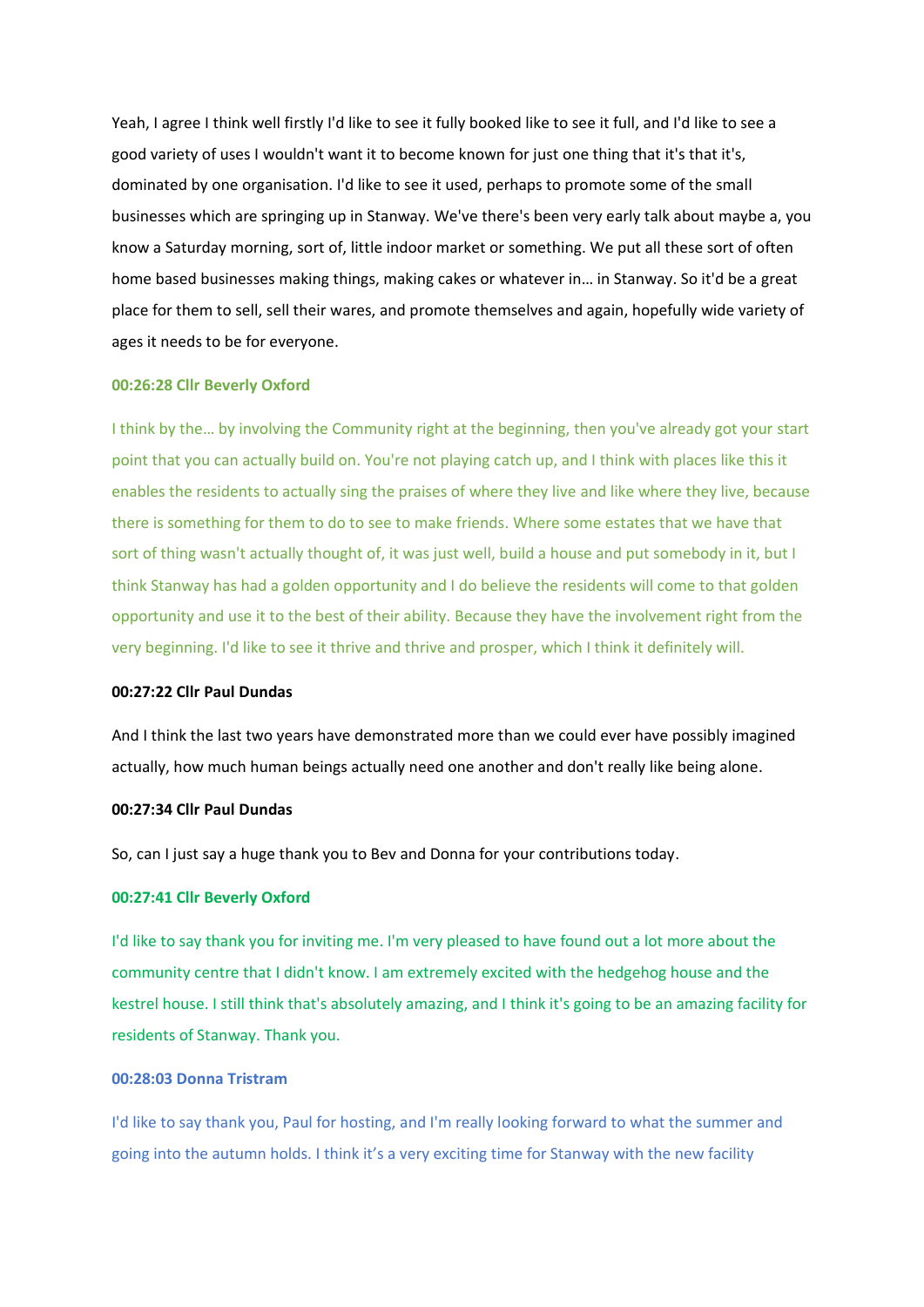Yeah, I agree I think well firstly I'd like to see it fully booked like to see it full, and I'd like to see a good variety of uses I wouldn't want it to become known for just one thing that it's that it's, dominated by one organisation. I'd like to see it used, perhaps to promote some of the small businesses which are springing up in Stanway. We've there's been very early talk about maybe a, you know a Saturday morning, sort of, little indoor market or something. We put all these sort of often home based businesses making things, making cakes or whatever in… in Stanway. So it'd be a great place for them to sell, sell their wares, and promote themselves and again, hopefully wide variety of ages it needs to be for everyone.

### **00:26:28 Cllr Beverly Oxford**

I think by the… by involving the Community right at the beginning, then you've already got your start point that you can actually build on. You're not playing catch up, and I think with places like this it enables the residents to actually sing the praises of where they live and like where they live, because there is something for them to do to see to make friends. Where some estates that we have that sort of thing wasn't actually thought of, it was just well, build a house and put somebody in it, but I think Stanway has had a golden opportunity and I do believe the residents will come to that golden opportunity and use it to the best of their ability. Because they have the involvement right from the very beginning. I'd like to see it thrive and thrive and prosper, which I think it definitely will.

## **00:27:22 Cllr Paul Dundas**

And I think the last two years have demonstrated more than we could ever have possibly imagined actually, how much human beings actually need one another and don't really like being alone.

### **00:27:34 Cllr Paul Dundas**

So, can I just say a huge thank you to Bev and Donna for your contributions today.

### **00:27:41 Cllr Beverly Oxford**

I'd like to say thank you for inviting me. I'm very pleased to have found out a lot more about the community centre that I didn't know. I am extremely excited with the hedgehog house and the kestrel house. I still think that's absolutely amazing, and I think it's going to be an amazing facility for residents of Stanway. Thank you.

# **00:28:03 Donna Tristram**

I'd like to say thank you, Paul for hosting, and I'm really looking forward to what the summer and going into the autumn holds. I think it's a very exciting time for Stanway with the new facility